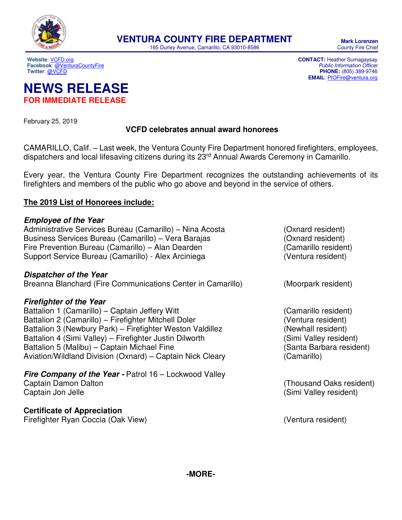

165 Durley Avenue, Camarillo, CA 93010-8586

**Website**[: VCFD.org](http://vcfd.org/) **CONTACT:** Heather Sumagaysay **Facebook[: @VenturaCountyFire](https://www.facebook.com/venturacountyfire)**<br>Twitter: @VCFD

**PHONE:** (805) 389-9746 **EMAIL**: [PIOFire@ventura.org](mailto:PIOFire@ventura.org)

# **NEWS RELEASE FOR IMMEDIATE RELEASE**

February 25, 2019

## **VCFD celebrates annual award honorees**

CAMARILLO, Calif. – Last week, the Ventura County Fire Department honored firefighters, employees, dispatchers and local lifesaving citizens during its 23<sup>rd</sup> Annual Awards Ceremony in Camarillo.

Every year, the Ventura County Fire Department recognizes the outstanding achievements of its firefighters and members of the public who go above and beyond in the service of others.

## **The 2019 List of Honorees include:**

### **Employee of the Year**

Administrative Services Bureau (Camarillo) – Nina Acosta (Oxnard resident) Business Services Bureau (Camarillo) – Vera Barajas (Oxnard resident) Fire Prevention Bureau (Camarillo) – Alan Dearden (Camarillo resident) Support Service Bureau (Camarillo) - Alex Arciniega (Ventura resident)

#### **Dispatcher of the Year**

Breanna Blanchard (Fire Communications Center in Camarillo) (Moorpark resident)

## **Firefighter of the Year**

Battalion 1 (Camarillo) – Captain Jeffery Witt (Camarillo resident) Battalion 2 (Camarillo) – Firefighter Mitchell Doler (Ventura resident) Battalion 3 (Newbury Park) – Firefighter Weston Valdillez (Newhall resident) Battalion 4 (Simi Valley) – Firefighter Justin Dilworth (Simi Valley resident) Battalion 5 (Malibu) – Captain Michael Fine (Santa Barbara resident) Aviation/Wildland Division (Oxnard) – Captain Nick Cleary (Camarillo)

**Fire Company of the Year - Patrol 16 – Lockwood Valley** Captain Damon Dalton (Thousand Oaks resident)

# **Certificate of Appreciation**

Firefighter Ryan Coccia (Oak View) (Ventura resident)

- 
- Captain Jon Jelle (Simi Valley resident)